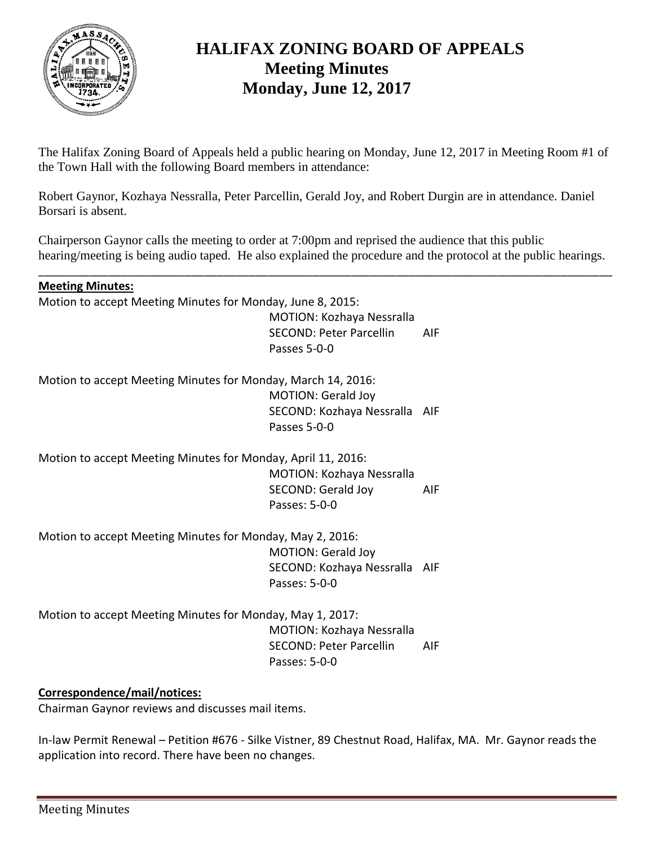

## **HALIFAX ZONING BOARD OF APPEALS Meeting Minutes Monday, June 12, 2017**

The Halifax Zoning Board of Appeals held a public hearing on Monday, June 12, 2017 in Meeting Room #1 of the Town Hall with the following Board members in attendance:

Robert Gaynor, Kozhaya Nessralla, Peter Parcellin, Gerald Joy, and Robert Durgin are in attendance. Daniel Borsari is absent.

Chairperson Gaynor calls the meeting to order at 7:00pm and reprised the audience that this public hearing/meeting is being audio taped. He also explained the procedure and the protocol at the public hearings.

\_\_\_\_\_\_\_\_\_\_\_\_\_\_\_\_\_\_\_\_\_\_\_\_\_\_\_\_\_\_\_\_\_\_\_\_\_\_\_\_\_\_\_\_\_\_\_\_\_\_\_\_\_\_\_\_\_\_\_\_\_\_\_\_\_\_\_\_\_\_\_\_\_\_\_\_\_\_\_\_\_\_\_\_\_\_\_\_\_\_

#### **Meeting Minutes:**

Motion to accept Meeting Minutes for Monday, June 8, 2015:

MOTION: Kozhaya Nessralla SECOND: Peter Parcellin AIF Passes 5-0-0

Motion to accept Meeting Minutes for Monday, March 14, 2016: MOTION: Gerald Joy SECOND: Kozhaya Nessralla AIF Passes 5-0-0

Motion to accept Meeting Minutes for Monday, April 11, 2016:

MOTION: Kozhaya Nessralla SECOND: Gerald Joy AIF Passes: 5-0-0

Motion to accept Meeting Minutes for Monday, May 2, 2016: MOTION: Gerald Joy SECOND: Kozhaya Nessralla AIF Passes: 5-0-0

Motion to accept Meeting Minutes for Monday, May 1, 2017: MOTION: Kozhaya Nessralla SECOND: Peter Parcellin AIF Passes: 5-0-0

### **Correspondence/mail/notices:**

Chairman Gaynor reviews and discusses mail items.

In-law Permit Renewal – Petition #676 - Silke Vistner, 89 Chestnut Road, Halifax, MA. Mr. Gaynor reads the application into record. There have been no changes.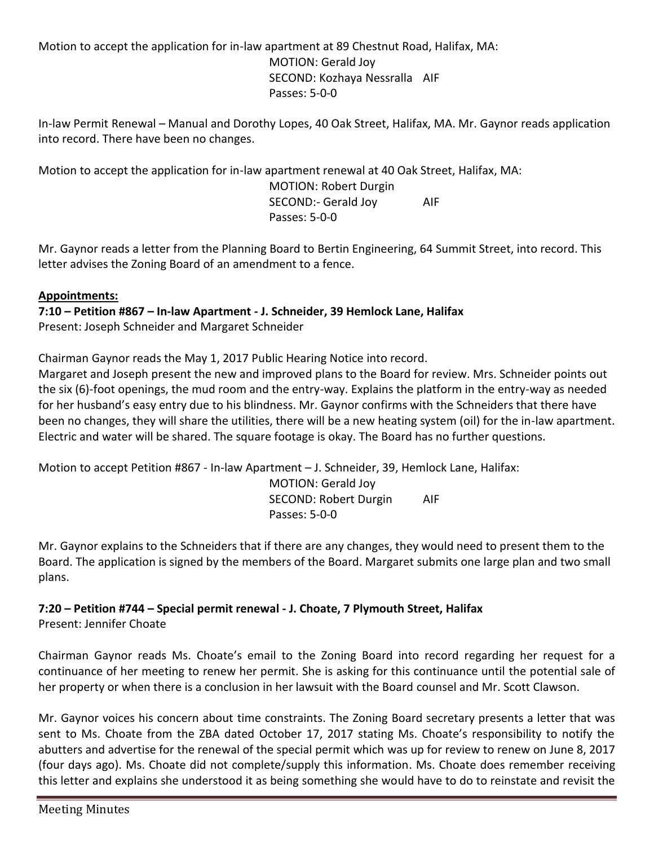Motion to accept the application for in-law apartment at 89 Chestnut Road, Halifax, MA: MOTION: Gerald Joy SECOND: Kozhaya Nessralla AIF Passes: 5-0-0

In-law Permit Renewal – Manual and Dorothy Lopes, 40 Oak Street, Halifax, MA. Mr. Gaynor reads application into record. There have been no changes.

Motion to accept the application for in-law apartment renewal at 40 Oak Street, Halifax, MA: MOTION: Robert Durgin SECOND:- Gerald Joy AIF Passes: 5-0-0

Mr. Gaynor reads a letter from the Planning Board to Bertin Engineering, 64 Summit Street, into record. This letter advises the Zoning Board of an amendment to a fence.

### **Appointments:**

**7:10 – Petition #867 – In-law Apartment - J. Schneider, 39 Hemlock Lane, Halifax** Present: Joseph Schneider and Margaret Schneider

Chairman Gaynor reads the May 1, 2017 Public Hearing Notice into record.

Margaret and Joseph present the new and improved plans to the Board for review. Mrs. Schneider points out the six (6)-foot openings, the mud room and the entry-way. Explains the platform in the entry-way as needed for her husband's easy entry due to his blindness. Mr. Gaynor confirms with the Schneiders that there have been no changes, they will share the utilities, there will be a new heating system (oil) for the in-law apartment. Electric and water will be shared. The square footage is okay. The Board has no further questions.

Motion to accept Petition #867 - In-law Apartment – J. Schneider, 39, Hemlock Lane, Halifax: MOTION: Gerald Joy SECOND: Robert Durgin AIF Passes: 5-0-0

Mr. Gaynor explains to the Schneiders that if there are any changes, they would need to present them to the Board. The application is signed by the members of the Board. Margaret submits one large plan and two small plans.

# **7:20 – Petition #744 – Special permit renewal - J. Choate, 7 Plymouth Street, Halifax**

Present: Jennifer Choate

Chairman Gaynor reads Ms. Choate's email to the Zoning Board into record regarding her request for a continuance of her meeting to renew her permit. She is asking for this continuance until the potential sale of her property or when there is a conclusion in her lawsuit with the Board counsel and Mr. Scott Clawson.

Mr. Gaynor voices his concern about time constraints. The Zoning Board secretary presents a letter that was sent to Ms. Choate from the ZBA dated October 17, 2017 stating Ms. Choate's responsibility to notify the abutters and advertise for the renewal of the special permit which was up for review to renew on June 8, 2017 (four days ago). Ms. Choate did not complete/supply this information. Ms. Choate does remember receiving this letter and explains she understood it as being something she would have to do to reinstate and revisit the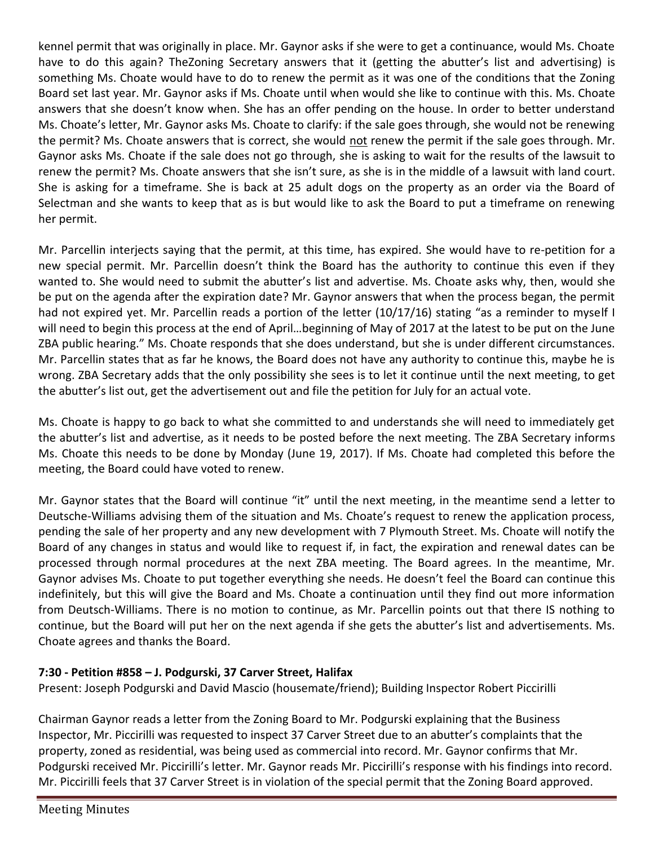kennel permit that was originally in place. Mr. Gaynor asks if she were to get a continuance, would Ms. Choate have to do this again? TheZoning Secretary answers that it (getting the abutter's list and advertising) is something Ms. Choate would have to do to renew the permit as it was one of the conditions that the Zoning Board set last year. Mr. Gaynor asks if Ms. Choate until when would she like to continue with this. Ms. Choate answers that she doesn't know when. She has an offer pending on the house. In order to better understand Ms. Choate's letter, Mr. Gaynor asks Ms. Choate to clarify: if the sale goes through, she would not be renewing the permit? Ms. Choate answers that is correct, she would not renew the permit if the sale goes through. Mr. Gaynor asks Ms. Choate if the sale does not go through, she is asking to wait for the results of the lawsuit to renew the permit? Ms. Choate answers that she isn't sure, as she is in the middle of a lawsuit with land court. She is asking for a timeframe. She is back at 25 adult dogs on the property as an order via the Board of Selectman and she wants to keep that as is but would like to ask the Board to put a timeframe on renewing her permit.

Mr. Parcellin interjects saying that the permit, at this time, has expired. She would have to re-petition for a new special permit. Mr. Parcellin doesn't think the Board has the authority to continue this even if they wanted to. She would need to submit the abutter's list and advertise. Ms. Choate asks why, then, would she be put on the agenda after the expiration date? Mr. Gaynor answers that when the process began, the permit had not expired yet. Mr. Parcellin reads a portion of the letter (10/17/16) stating "as a reminder to myself I will need to begin this process at the end of April…beginning of May of 2017 at the latest to be put on the June ZBA public hearing." Ms. Choate responds that she does understand, but she is under different circumstances. Mr. Parcellin states that as far he knows, the Board does not have any authority to continue this, maybe he is wrong. ZBA Secretary adds that the only possibility she sees is to let it continue until the next meeting, to get the abutter's list out, get the advertisement out and file the petition for July for an actual vote.

Ms. Choate is happy to go back to what she committed to and understands she will need to immediately get the abutter's list and advertise, as it needs to be posted before the next meeting. The ZBA Secretary informs Ms. Choate this needs to be done by Monday (June 19, 2017). If Ms. Choate had completed this before the meeting, the Board could have voted to renew.

Mr. Gaynor states that the Board will continue "it" until the next meeting, in the meantime send a letter to Deutsche-Williams advising them of the situation and Ms. Choate's request to renew the application process, pending the sale of her property and any new development with 7 Plymouth Street. Ms. Choate will notify the Board of any changes in status and would like to request if, in fact, the expiration and renewal dates can be processed through normal procedures at the next ZBA meeting. The Board agrees. In the meantime, Mr. Gaynor advises Ms. Choate to put together everything she needs. He doesn't feel the Board can continue this indefinitely, but this will give the Board and Ms. Choate a continuation until they find out more information from Deutsch-Williams. There is no motion to continue, as Mr. Parcellin points out that there IS nothing to continue, but the Board will put her on the next agenda if she gets the abutter's list and advertisements. Ms. Choate agrees and thanks the Board.

### **7:30 - Petition #858 – J. Podgurski, 37 Carver Street, Halifax**

Present: Joseph Podgurski and David Mascio (housemate/friend); Building Inspector Robert Piccirilli

Chairman Gaynor reads a letter from the Zoning Board to Mr. Podgurski explaining that the Business Inspector, Mr. Piccirilli was requested to inspect 37 Carver Street due to an abutter's complaints that the property, zoned as residential, was being used as commercial into record. Mr. Gaynor confirms that Mr. Podgurski received Mr. Piccirilli's letter. Mr. Gaynor reads Mr. Piccirilli's response with his findings into record. Mr. Piccirilli feels that 37 Carver Street is in violation of the special permit that the Zoning Board approved.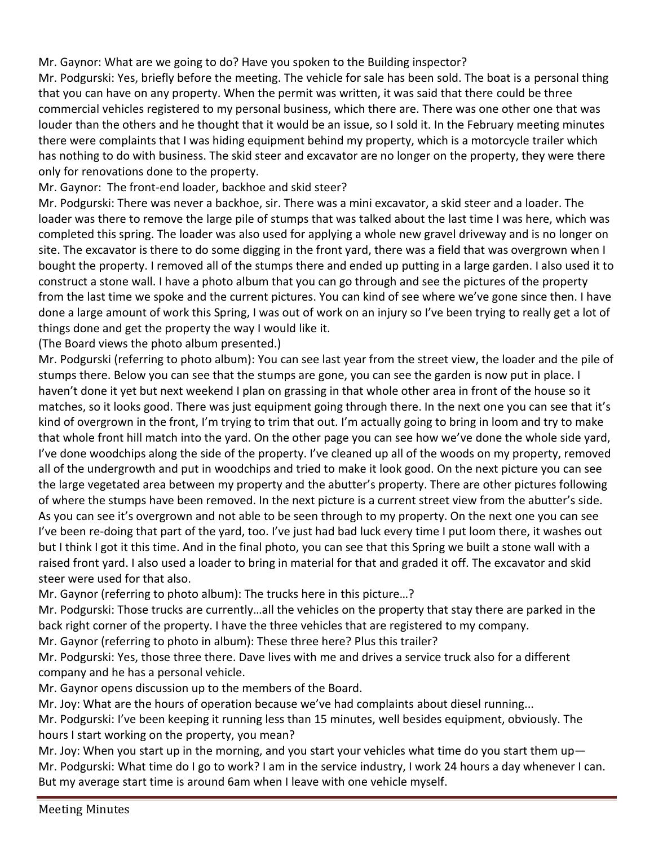### Mr. Gaynor: What are we going to do? Have you spoken to the Building inspector?

Mr. Podgurski: Yes, briefly before the meeting. The vehicle for sale has been sold. The boat is a personal thing that you can have on any property. When the permit was written, it was said that there could be three commercial vehicles registered to my personal business, which there are. There was one other one that was louder than the others and he thought that it would be an issue, so I sold it. In the February meeting minutes there were complaints that I was hiding equipment behind my property, which is a motorcycle trailer which has nothing to do with business. The skid steer and excavator are no longer on the property, they were there only for renovations done to the property.

Mr. Gaynor: The front-end loader, backhoe and skid steer?

Mr. Podgurski: There was never a backhoe, sir. There was a mini excavator, a skid steer and a loader. The loader was there to remove the large pile of stumps that was talked about the last time I was here, which was completed this spring. The loader was also used for applying a whole new gravel driveway and is no longer on site. The excavator is there to do some digging in the front yard, there was a field that was overgrown when I bought the property. I removed all of the stumps there and ended up putting in a large garden. I also used it to construct a stone wall. I have a photo album that you can go through and see the pictures of the property from the last time we spoke and the current pictures. You can kind of see where we've gone since then. I have done a large amount of work this Spring, I was out of work on an injury so I've been trying to really get a lot of things done and get the property the way I would like it.

(The Board views the photo album presented.)

Mr. Podgurski (referring to photo album): You can see last year from the street view, the loader and the pile of stumps there. Below you can see that the stumps are gone, you can see the garden is now put in place. I haven't done it yet but next weekend I plan on grassing in that whole other area in front of the house so it matches, so it looks good. There was just equipment going through there. In the next one you can see that it's kind of overgrown in the front, I'm trying to trim that out. I'm actually going to bring in loom and try to make that whole front hill match into the yard. On the other page you can see how we've done the whole side yard, I've done woodchips along the side of the property. I've cleaned up all of the woods on my property, removed all of the undergrowth and put in woodchips and tried to make it look good. On the next picture you can see the large vegetated area between my property and the abutter's property. There are other pictures following of where the stumps have been removed. In the next picture is a current street view from the abutter's side. As you can see it's overgrown and not able to be seen through to my property. On the next one you can see I've been re-doing that part of the yard, too. I've just had bad luck every time I put loom there, it washes out but I think I got it this time. And in the final photo, you can see that this Spring we built a stone wall with a raised front yard. I also used a loader to bring in material for that and graded it off. The excavator and skid steer were used for that also.

Mr. Gaynor (referring to photo album): The trucks here in this picture…?

Mr. Podgurski: Those trucks are currently…all the vehicles on the property that stay there are parked in the back right corner of the property. I have the three vehicles that are registered to my company.

Mr. Gaynor (referring to photo in album): These three here? Plus this trailer?

Mr. Podgurski: Yes, those three there. Dave lives with me and drives a service truck also for a different company and he has a personal vehicle.

Mr. Gaynor opens discussion up to the members of the Board.

Mr. Joy: What are the hours of operation because we've had complaints about diesel running...

Mr. Podgurski: I've been keeping it running less than 15 minutes, well besides equipment, obviously. The hours I start working on the property, you mean?

Mr. Joy: When you start up in the morning, and you start your vehicles what time do you start them up— Mr. Podgurski: What time do I go to work? I am in the service industry, I work 24 hours a day whenever I can. But my average start time is around 6am when I leave with one vehicle myself.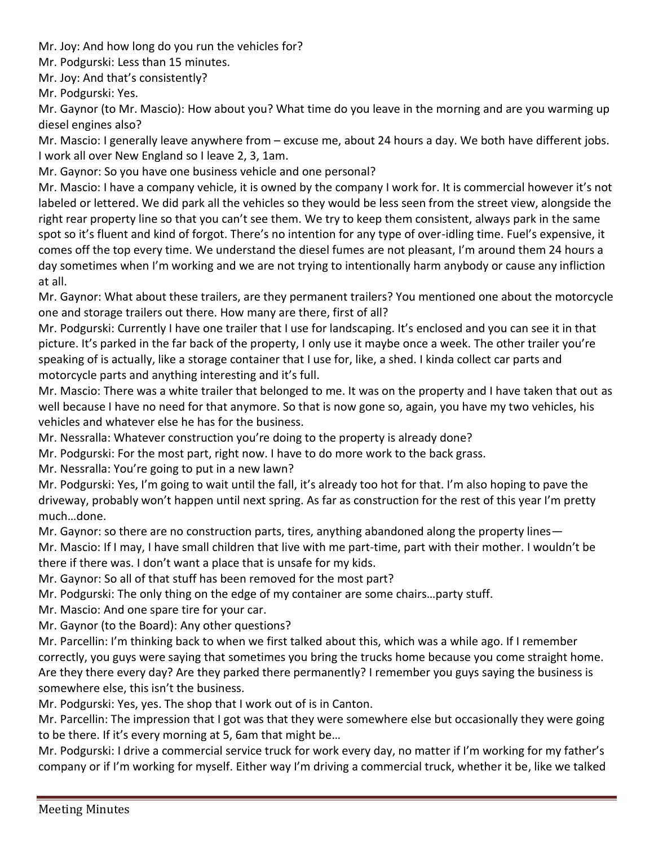Mr. Joy: And how long do you run the vehicles for?

Mr. Podgurski: Less than 15 minutes.

Mr. Joy: And that's consistently?

Mr. Podgurski: Yes.

Mr. Gaynor (to Mr. Mascio): How about you? What time do you leave in the morning and are you warming up diesel engines also?

Mr. Mascio: I generally leave anywhere from – excuse me, about 24 hours a day. We both have different jobs. I work all over New England so I leave 2, 3, 1am.

Mr. Gaynor: So you have one business vehicle and one personal?

Mr. Mascio: I have a company vehicle, it is owned by the company I work for. It is commercial however it's not labeled or lettered. We did park all the vehicles so they would be less seen from the street view, alongside the right rear property line so that you can't see them. We try to keep them consistent, always park in the same spot so it's fluent and kind of forgot. There's no intention for any type of over-idling time. Fuel's expensive, it comes off the top every time. We understand the diesel fumes are not pleasant, I'm around them 24 hours a day sometimes when I'm working and we are not trying to intentionally harm anybody or cause any infliction at all.

Mr. Gaynor: What about these trailers, are they permanent trailers? You mentioned one about the motorcycle one and storage trailers out there. How many are there, first of all?

Mr. Podgurski: Currently I have one trailer that I use for landscaping. It's enclosed and you can see it in that picture. It's parked in the far back of the property, I only use it maybe once a week. The other trailer you're speaking of is actually, like a storage container that I use for, like, a shed. I kinda collect car parts and motorcycle parts and anything interesting and it's full.

Mr. Mascio: There was a white trailer that belonged to me. It was on the property and I have taken that out as well because I have no need for that anymore. So that is now gone so, again, you have my two vehicles, his vehicles and whatever else he has for the business.

Mr. Nessralla: Whatever construction you're doing to the property is already done?

Mr. Podgurski: For the most part, right now. I have to do more work to the back grass.

Mr. Nessralla: You're going to put in a new lawn?

Mr. Podgurski: Yes, I'm going to wait until the fall, it's already too hot for that. I'm also hoping to pave the driveway, probably won't happen until next spring. As far as construction for the rest of this year I'm pretty much…done.

Mr. Gaynor: so there are no construction parts, tires, anything abandoned along the property lines—

Mr. Mascio: If I may, I have small children that live with me part-time, part with their mother. I wouldn't be there if there was. I don't want a place that is unsafe for my kids.

Mr. Gaynor: So all of that stuff has been removed for the most part?

Mr. Podgurski: The only thing on the edge of my container are some chairs…party stuff.

Mr. Mascio: And one spare tire for your car.

Mr. Gaynor (to the Board): Any other questions?

Mr. Parcellin: I'm thinking back to when we first talked about this, which was a while ago. If I remember correctly, you guys were saying that sometimes you bring the trucks home because you come straight home. Are they there every day? Are they parked there permanently? I remember you guys saying the business is somewhere else, this isn't the business.

Mr. Podgurski: Yes, yes. The shop that I work out of is in Canton.

Mr. Parcellin: The impression that I got was that they were somewhere else but occasionally they were going to be there. If it's every morning at 5, 6am that might be…

Mr. Podgurski: I drive a commercial service truck for work every day, no matter if I'm working for my father's company or if I'm working for myself. Either way I'm driving a commercial truck, whether it be, like we talked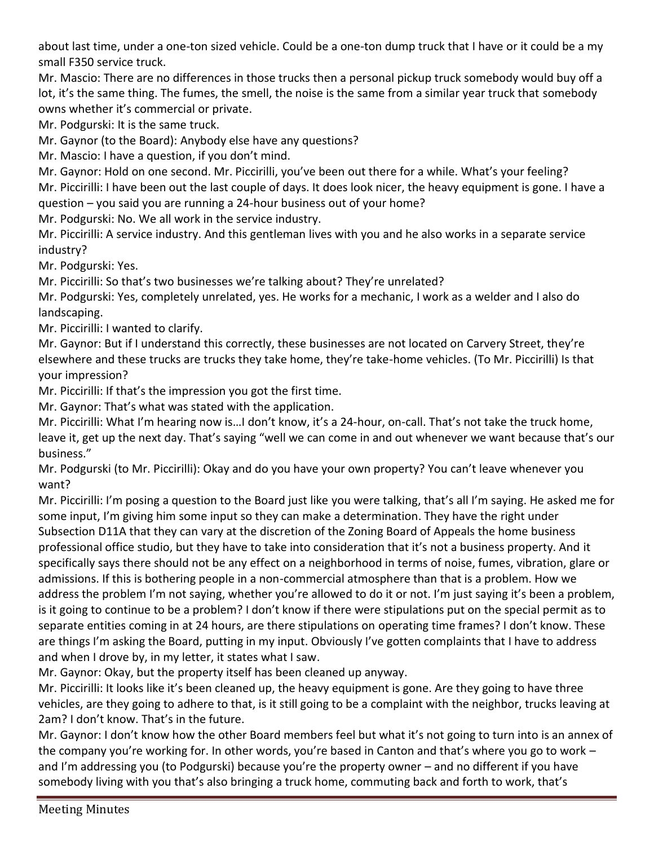about last time, under a one-ton sized vehicle. Could be a one-ton dump truck that I have or it could be a my small F350 service truck.

Mr. Mascio: There are no differences in those trucks then a personal pickup truck somebody would buy off a lot, it's the same thing. The fumes, the smell, the noise is the same from a similar year truck that somebody owns whether it's commercial or private.

Mr. Podgurski: It is the same truck.

Mr. Gaynor (to the Board): Anybody else have any questions?

Mr. Mascio: I have a question, if you don't mind.

Mr. Gaynor: Hold on one second. Mr. Piccirilli, you've been out there for a while. What's your feeling? Mr. Piccirilli: I have been out the last couple of days. It does look nicer, the heavy equipment is gone. I have a question – you said you are running a 24-hour business out of your home?

Mr. Podgurski: No. We all work in the service industry.

Mr. Piccirilli: A service industry. And this gentleman lives with you and he also works in a separate service industry?

Mr. Podgurski: Yes.

Mr. Piccirilli: So that's two businesses we're talking about? They're unrelated?

Mr. Podgurski: Yes, completely unrelated, yes. He works for a mechanic, I work as a welder and I also do landscaping.

Mr. Piccirilli: I wanted to clarify.

Mr. Gaynor: But if I understand this correctly, these businesses are not located on Carvery Street, they're elsewhere and these trucks are trucks they take home, they're take-home vehicles. (To Mr. Piccirilli) Is that your impression?

Mr. Piccirilli: If that's the impression you got the first time.

Mr. Gaynor: That's what was stated with the application.

Mr. Piccirilli: What I'm hearing now is…I don't know, it's a 24-hour, on-call. That's not take the truck home, leave it, get up the next day. That's saying "well we can come in and out whenever we want because that's our business."

Mr. Podgurski (to Mr. Piccirilli): Okay and do you have your own property? You can't leave whenever you want?

Mr. Piccirilli: I'm posing a question to the Board just like you were talking, that's all I'm saying. He asked me for some input, I'm giving him some input so they can make a determination. They have the right under Subsection D11A that they can vary at the discretion of the Zoning Board of Appeals the home business professional office studio, but they have to take into consideration that it's not a business property. And it specifically says there should not be any effect on a neighborhood in terms of noise, fumes, vibration, glare or admissions. If this is bothering people in a non-commercial atmosphere than that is a problem. How we address the problem I'm not saying, whether you're allowed to do it or not. I'm just saying it's been a problem, is it going to continue to be a problem? I don't know if there were stipulations put on the special permit as to separate entities coming in at 24 hours, are there stipulations on operating time frames? I don't know. These are things I'm asking the Board, putting in my input. Obviously I've gotten complaints that I have to address and when I drove by, in my letter, it states what I saw.

Mr. Gaynor: Okay, but the property itself has been cleaned up anyway.

Mr. Piccirilli: It looks like it's been cleaned up, the heavy equipment is gone. Are they going to have three vehicles, are they going to adhere to that, is it still going to be a complaint with the neighbor, trucks leaving at 2am? I don't know. That's in the future.

Mr. Gaynor: I don't know how the other Board members feel but what it's not going to turn into is an annex of the company you're working for. In other words, you're based in Canton and that's where you go to work – and I'm addressing you (to Podgurski) because you're the property owner – and no different if you have somebody living with you that's also bringing a truck home, commuting back and forth to work, that's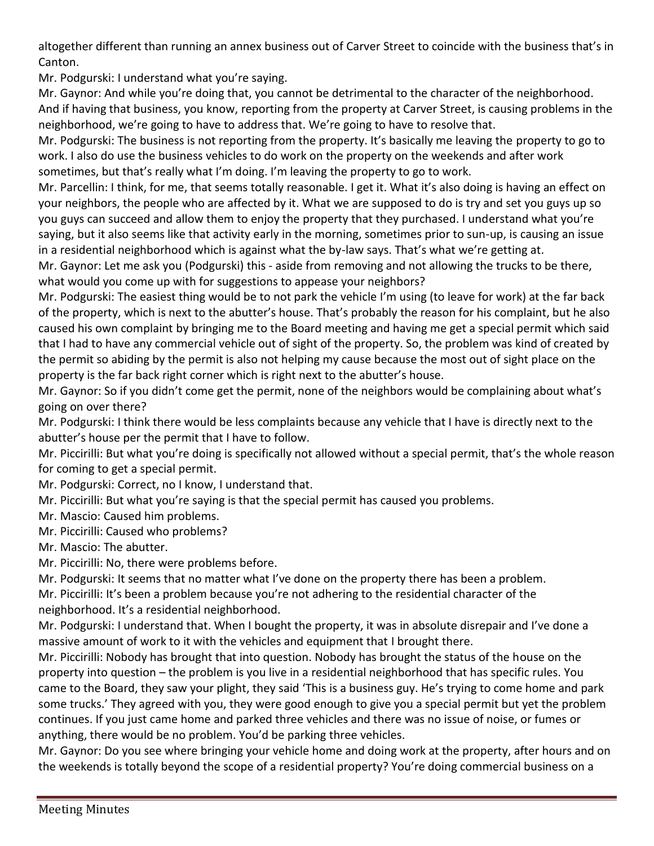altogether different than running an annex business out of Carver Street to coincide with the business that's in Canton.

Mr. Podgurski: I understand what you're saying.

Mr. Gaynor: And while you're doing that, you cannot be detrimental to the character of the neighborhood. And if having that business, you know, reporting from the property at Carver Street, is causing problems in the neighborhood, we're going to have to address that. We're going to have to resolve that.

Mr. Podgurski: The business is not reporting from the property. It's basically me leaving the property to go to work. I also do use the business vehicles to do work on the property on the weekends and after work sometimes, but that's really what I'm doing. I'm leaving the property to go to work.

Mr. Parcellin: I think, for me, that seems totally reasonable. I get it. What it's also doing is having an effect on your neighbors, the people who are affected by it. What we are supposed to do is try and set you guys up so you guys can succeed and allow them to enjoy the property that they purchased. I understand what you're saying, but it also seems like that activity early in the morning, sometimes prior to sun-up, is causing an issue in a residential neighborhood which is against what the by-law says. That's what we're getting at.

Mr. Gaynor: Let me ask you (Podgurski) this - aside from removing and not allowing the trucks to be there, what would you come up with for suggestions to appease your neighbors?

Mr. Podgurski: The easiest thing would be to not park the vehicle I'm using (to leave for work) at the far back of the property, which is next to the abutter's house. That's probably the reason for his complaint, but he also caused his own complaint by bringing me to the Board meeting and having me get a special permit which said that I had to have any commercial vehicle out of sight of the property. So, the problem was kind of created by the permit so abiding by the permit is also not helping my cause because the most out of sight place on the property is the far back right corner which is right next to the abutter's house.

Mr. Gaynor: So if you didn't come get the permit, none of the neighbors would be complaining about what's going on over there?

Mr. Podgurski: I think there would be less complaints because any vehicle that I have is directly next to the abutter's house per the permit that I have to follow.

Mr. Piccirilli: But what you're doing is specifically not allowed without a special permit, that's the whole reason for coming to get a special permit.

Mr. Podgurski: Correct, no I know, I understand that.

Mr. Piccirilli: But what you're saying is that the special permit has caused you problems.

Mr. Mascio: Caused him problems.

Mr. Piccirilli: Caused who problems?

Mr. Mascio: The abutter.

Mr. Piccirilli: No, there were problems before.

Mr. Podgurski: It seems that no matter what I've done on the property there has been a problem.

Mr. Piccirilli: It's been a problem because you're not adhering to the residential character of the neighborhood. It's a residential neighborhood.

Mr. Podgurski: I understand that. When I bought the property, it was in absolute disrepair and I've done a massive amount of work to it with the vehicles and equipment that I brought there.

Mr. Piccirilli: Nobody has brought that into question. Nobody has brought the status of the house on the property into question – the problem is you live in a residential neighborhood that has specific rules. You came to the Board, they saw your plight, they said 'This is a business guy. He's trying to come home and park some trucks.' They agreed with you, they were good enough to give you a special permit but yet the problem continues. If you just came home and parked three vehicles and there was no issue of noise, or fumes or anything, there would be no problem. You'd be parking three vehicles.

Mr. Gaynor: Do you see where bringing your vehicle home and doing work at the property, after hours and on the weekends is totally beyond the scope of a residential property? You're doing commercial business on a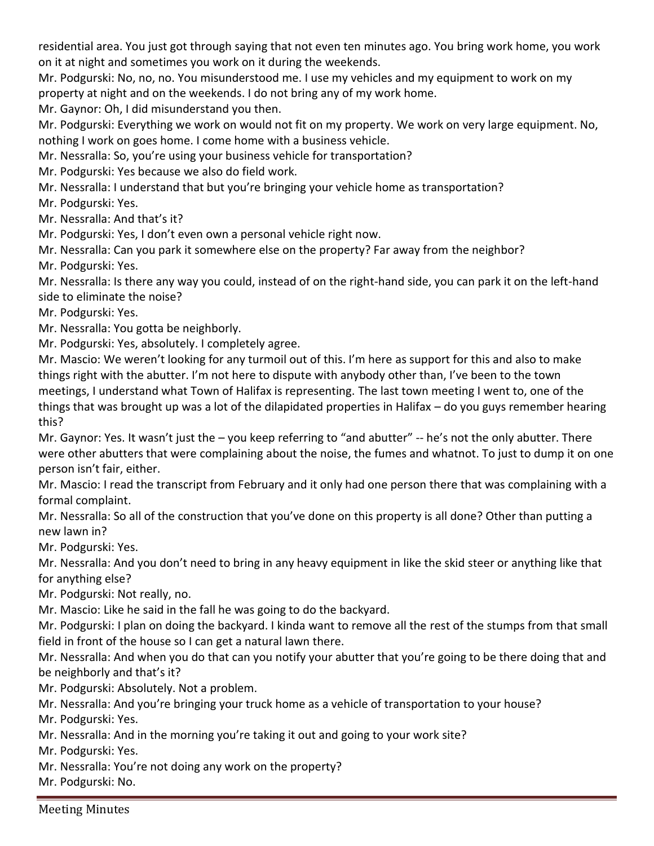residential area. You just got through saying that not even ten minutes ago. You bring work home, you work on it at night and sometimes you work on it during the weekends.

Mr. Podgurski: No, no, no. You misunderstood me. I use my vehicles and my equipment to work on my property at night and on the weekends. I do not bring any of my work home.

Mr. Gaynor: Oh, I did misunderstand you then.

Mr. Podgurski: Everything we work on would not fit on my property. We work on very large equipment. No, nothing I work on goes home. I come home with a business vehicle.

Mr. Nessralla: So, you're using your business vehicle for transportation?

Mr. Podgurski: Yes because we also do field work.

Mr. Nessralla: I understand that but you're bringing your vehicle home as transportation?

Mr. Podgurski: Yes.

Mr. Nessralla: And that's it?

Mr. Podgurski: Yes, I don't even own a personal vehicle right now.

Mr. Nessralla: Can you park it somewhere else on the property? Far away from the neighbor?

Mr. Podgurski: Yes.

Mr. Nessralla: Is there any way you could, instead of on the right-hand side, you can park it on the left-hand side to eliminate the noise?

Mr. Podgurski: Yes.

Mr. Nessralla: You gotta be neighborly.

Mr. Podgurski: Yes, absolutely. I completely agree.

Mr. Mascio: We weren't looking for any turmoil out of this. I'm here as support for this and also to make things right with the abutter. I'm not here to dispute with anybody other than, I've been to the town meetings, I understand what Town of Halifax is representing. The last town meeting I went to, one of the things that was brought up was a lot of the dilapidated properties in Halifax – do you guys remember hearing this?

Mr. Gaynor: Yes. It wasn't just the – you keep referring to "and abutter" -- he's not the only abutter. There were other abutters that were complaining about the noise, the fumes and whatnot. To just to dump it on one person isn't fair, either.

Mr. Mascio: I read the transcript from February and it only had one person there that was complaining with a formal complaint.

Mr. Nessralla: So all of the construction that you've done on this property is all done? Other than putting a new lawn in?

Mr. Podgurski: Yes.

Mr. Nessralla: And you don't need to bring in any heavy equipment in like the skid steer or anything like that for anything else?

Mr. Podgurski: Not really, no.

Mr. Mascio: Like he said in the fall he was going to do the backyard.

Mr. Podgurski: I plan on doing the backyard. I kinda want to remove all the rest of the stumps from that small field in front of the house so I can get a natural lawn there.

Mr. Nessralla: And when you do that can you notify your abutter that you're going to be there doing that and be neighborly and that's it?

Mr. Podgurski: Absolutely. Not a problem.

Mr. Nessralla: And you're bringing your truck home as a vehicle of transportation to your house?

Mr. Podgurski: Yes.

Mr. Nessralla: And in the morning you're taking it out and going to your work site?

Mr. Podgurski: Yes.

Mr. Nessralla: You're not doing any work on the property?

Mr. Podgurski: No.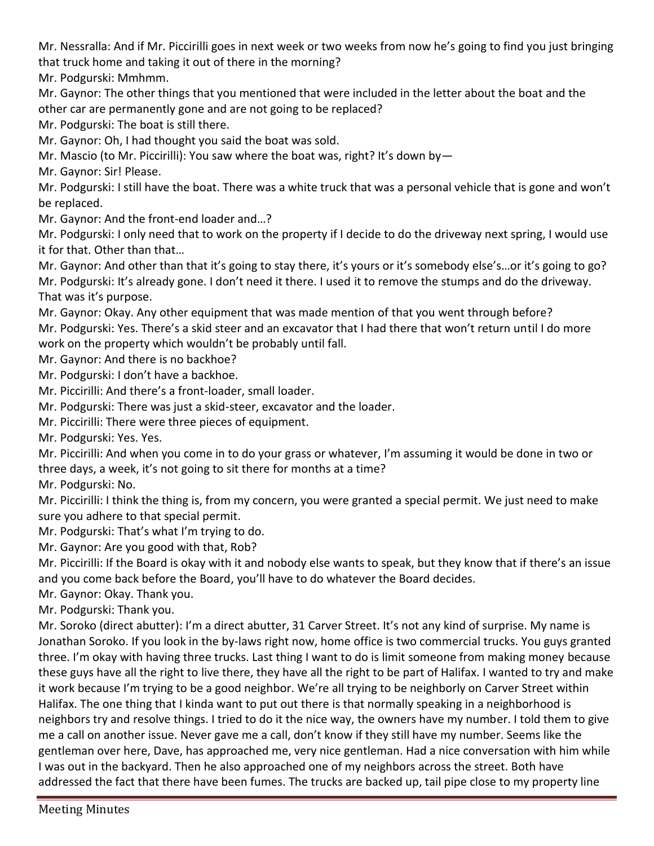Mr. Nessralla: And if Mr. Piccirilli goes in next week or two weeks from now he's going to find you just bringing that truck home and taking it out of there in the morning?

Mr. Podgurski: Mmhmm.

Mr. Gaynor: The other things that you mentioned that were included in the letter about the boat and the other car are permanently gone and are not going to be replaced?

Mr. Podgurski: The boat is still there.

Mr. Gaynor: Oh, I had thought you said the boat was sold.

Mr. Mascio (to Mr. Piccirilli): You saw where the boat was, right? It's down by—

Mr. Gaynor: Sir! Please.

Mr. Podgurski: I still have the boat. There was a white truck that was a personal vehicle that is gone and won't be replaced.

Mr. Gaynor: And the front-end loader and…?

Mr. Podgurski: I only need that to work on the property if I decide to do the driveway next spring, I would use it for that. Other than that…

Mr. Gaynor: And other than that it's going to stay there, it's yours or it's somebody else's…or it's going to go? Mr. Podgurski: It's already gone. I don't need it there. I used it to remove the stumps and do the driveway. That was it's purpose.

Mr. Gaynor: Okay. Any other equipment that was made mention of that you went through before? Mr. Podgurski: Yes. There's a skid steer and an excavator that I had there that won't return until I do more work on the property which wouldn't be probably until fall.

Mr. Gaynor: And there is no backhoe?

Mr. Podgurski: I don't have a backhoe.

Mr. Piccirilli: And there's a front-loader, small loader.

Mr. Podgurski: There was just a skid-steer, excavator and the loader.

Mr. Piccirilli: There were three pieces of equipment.

Mr. Podgurski: Yes. Yes.

Mr. Piccirilli: And when you come in to do your grass or whatever, I'm assuming it would be done in two or three days, a week, it's not going to sit there for months at a time?

Mr. Podgurski: No.

Mr. Piccirilli: I think the thing is, from my concern, you were granted a special permit. We just need to make sure you adhere to that special permit.

Mr. Podgurski: That's what I'm trying to do.

Mr. Gaynor: Are you good with that, Rob?

Mr. Piccirilli: If the Board is okay with it and nobody else wants to speak, but they know that if there's an issue and you come back before the Board, you'll have to do whatever the Board decides.

Mr. Gaynor: Okay. Thank you.

Mr. Podgurski: Thank you.

Mr. Soroko (direct abutter): I'm a direct abutter, 31 Carver Street. It's not any kind of surprise. My name is Jonathan Soroko. If you look in the by-laws right now, home office is two commercial trucks. You guys granted three. I'm okay with having three trucks. Last thing I want to do is limit someone from making money because these guys have all the right to live there, they have all the right to be part of Halifax. I wanted to try and make it work because I'm trying to be a good neighbor. We're all trying to be neighborly on Carver Street within Halifax. The one thing that I kinda want to put out there is that normally speaking in a neighborhood is neighbors try and resolve things. I tried to do it the nice way, the owners have my number. I told them to give me a call on another issue. Never gave me a call, don't know if they still have my number. Seems like the gentleman over here, Dave, has approached me, very nice gentleman. Had a nice conversation with him while I was out in the backyard. Then he also approached one of my neighbors across the street. Both have addressed the fact that there have been fumes. The trucks are backed up, tail pipe close to my property line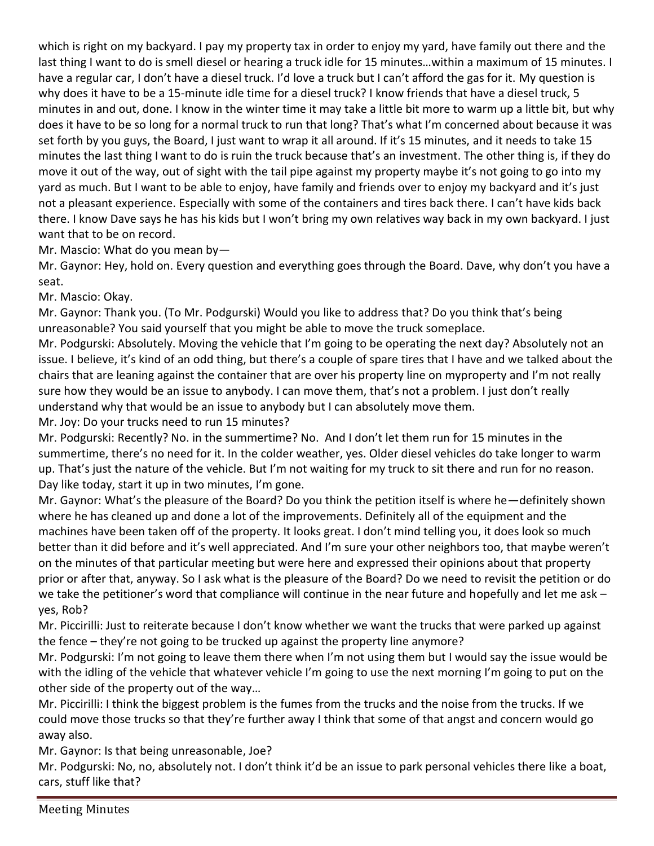which is right on my backyard. I pay my property tax in order to enjoy my yard, have family out there and the last thing I want to do is smell diesel or hearing a truck idle for 15 minutes…within a maximum of 15 minutes. I have a regular car, I don't have a diesel truck. I'd love a truck but I can't afford the gas for it. My question is why does it have to be a 15-minute idle time for a diesel truck? I know friends that have a diesel truck, 5 minutes in and out, done. I know in the winter time it may take a little bit more to warm up a little bit, but why does it have to be so long for a normal truck to run that long? That's what I'm concerned about because it was set forth by you guys, the Board, I just want to wrap it all around. If it's 15 minutes, and it needs to take 15 minutes the last thing I want to do is ruin the truck because that's an investment. The other thing is, if they do move it out of the way, out of sight with the tail pipe against my property maybe it's not going to go into my yard as much. But I want to be able to enjoy, have family and friends over to enjoy my backyard and it's just not a pleasant experience. Especially with some of the containers and tires back there. I can't have kids back there. I know Dave says he has his kids but I won't bring my own relatives way back in my own backyard. I just want that to be on record.

Mr. Mascio: What do you mean by—

Mr. Gaynor: Hey, hold on. Every question and everything goes through the Board. Dave, why don't you have a seat.

Mr. Mascio: Okay.

Mr. Gaynor: Thank you. (To Mr. Podgurski) Would you like to address that? Do you think that's being unreasonable? You said yourself that you might be able to move the truck someplace.

Mr. Podgurski: Absolutely. Moving the vehicle that I'm going to be operating the next day? Absolutely not an issue. I believe, it's kind of an odd thing, but there's a couple of spare tires that I have and we talked about the chairs that are leaning against the container that are over his property line on myproperty and I'm not really sure how they would be an issue to anybody. I can move them, that's not a problem. I just don't really understand why that would be an issue to anybody but I can absolutely move them.

Mr. Joy: Do your trucks need to run 15 minutes?

Mr. Podgurski: Recently? No. in the summertime? No. And I don't let them run for 15 minutes in the summertime, there's no need for it. In the colder weather, yes. Older diesel vehicles do take longer to warm up. That's just the nature of the vehicle. But I'm not waiting for my truck to sit there and run for no reason. Day like today, start it up in two minutes, I'm gone.

Mr. Gaynor: What's the pleasure of the Board? Do you think the petition itself is where he—definitely shown where he has cleaned up and done a lot of the improvements. Definitely all of the equipment and the machines have been taken off of the property. It looks great. I don't mind telling you, it does look so much better than it did before and it's well appreciated. And I'm sure your other neighbors too, that maybe weren't on the minutes of that particular meeting but were here and expressed their opinions about that property prior or after that, anyway. So I ask what is the pleasure of the Board? Do we need to revisit the petition or do we take the petitioner's word that compliance will continue in the near future and hopefully and let me ask – yes, Rob?

Mr. Piccirilli: Just to reiterate because I don't know whether we want the trucks that were parked up against the fence – they're not going to be trucked up against the property line anymore?

Mr. Podgurski: I'm not going to leave them there when I'm not using them but I would say the issue would be with the idling of the vehicle that whatever vehicle I'm going to use the next morning I'm going to put on the other side of the property out of the way…

Mr. Piccirilli: I think the biggest problem is the fumes from the trucks and the noise from the trucks. If we could move those trucks so that they're further away I think that some of that angst and concern would go away also.

Mr. Gaynor: Is that being unreasonable, Joe?

Mr. Podgurski: No, no, absolutely not. I don't think it'd be an issue to park personal vehicles there like a boat, cars, stuff like that?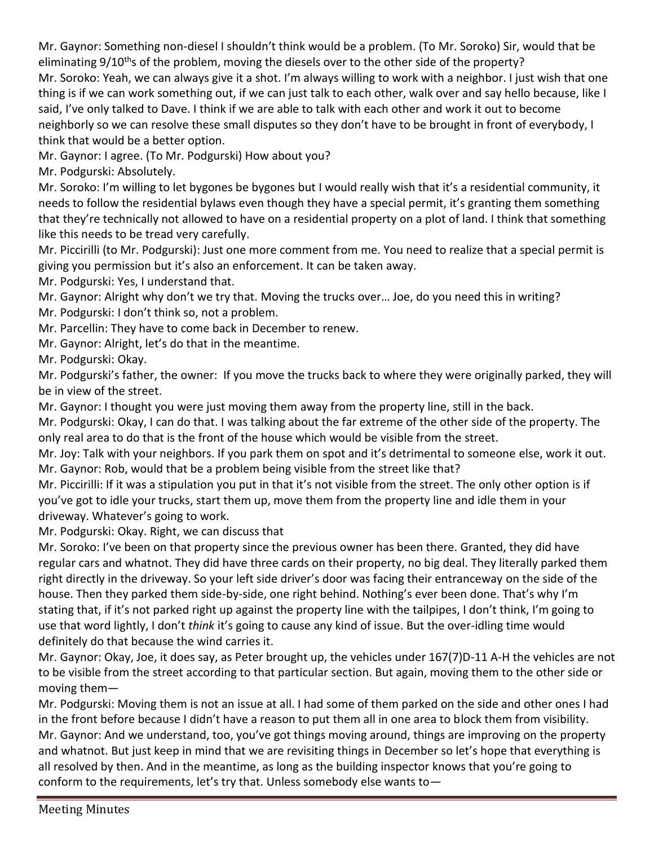Mr. Gaynor: Something non-diesel I shouldn't think would be a problem. (To Mr. Soroko) Sir, would that be eliminating 9/10<sup>th</sup>s of the problem, moving the diesels over to the other side of the property? Mr. Soroko: Yeah, we can always give it a shot. I'm always willing to work with a neighbor. I just wish that one thing is if we can work something out, if we can just talk to each other, walk over and say hello because, like I said, I've only talked to Dave. I think if we are able to talk with each other and work it out to become neighborly so we can resolve these small disputes so they don't have to be brought in front of everybody, I think that would be a better option.

Mr. Gaynor: I agree. (To Mr. Podgurski) How about you?

Mr. Podgurski: Absolutely.

Mr. Soroko: I'm willing to let bygones be bygones but I would really wish that it's a residential community, it needs to follow the residential bylaws even though they have a special permit, it's granting them something that they're technically not allowed to have on a residential property on a plot of land. I think that something like this needs to be tread very carefully.

Mr. Piccirilli (to Mr. Podgurski): Just one more comment from me. You need to realize that a special permit is giving you permission but it's also an enforcement. It can be taken away.

Mr. Podgurski: Yes, I understand that.

Mr. Gaynor: Alright why don't we try that. Moving the trucks over… Joe, do you need this in writing?

Mr. Podgurski: I don't think so, not a problem.

Mr. Parcellin: They have to come back in December to renew.

Mr. Gaynor: Alright, let's do that in the meantime.

Mr. Podgurski: Okay.

Mr. Podgurski's father, the owner: If you move the trucks back to where they were originally parked, they will be in view of the street.

Mr. Gaynor: I thought you were just moving them away from the property line, still in the back.

Mr. Podgurski: Okay, I can do that. I was talking about the far extreme of the other side of the property. The only real area to do that is the front of the house which would be visible from the street.

Mr. Joy: Talk with your neighbors. If you park them on spot and it's detrimental to someone else, work it out. Mr. Gaynor: Rob, would that be a problem being visible from the street like that?

Mr. Piccirilli: If it was a stipulation you put in that it's not visible from the street. The only other option is if you've got to idle your trucks, start them up, move them from the property line and idle them in your driveway. Whatever's going to work.

Mr. Podgurski: Okay. Right, we can discuss that

Mr. Soroko: I've been on that property since the previous owner has been there. Granted, they did have regular cars and whatnot. They did have three cards on their property, no big deal. They literally parked them right directly in the driveway. So your left side driver's door was facing their entranceway on the side of the house. Then they parked them side-by-side, one right behind. Nothing's ever been done. That's why I'm stating that, if it's not parked right up against the property line with the tailpipes, I don't think, I'm going to use that word lightly, I don't *think* it's going to cause any kind of issue. But the over-idling time would definitely do that because the wind carries it.

Mr. Gaynor: Okay, Joe, it does say, as Peter brought up, the vehicles under 167(7)D-11 A-H the vehicles are not to be visible from the street according to that particular section. But again, moving them to the other side or moving them—

Mr. Podgurski: Moving them is not an issue at all. I had some of them parked on the side and other ones I had in the front before because I didn't have a reason to put them all in one area to block them from visibility. Mr. Gaynor: And we understand, too, you've got things moving around, things are improving on the property and whatnot. But just keep in mind that we are revisiting things in December so let's hope that everything is all resolved by then. And in the meantime, as long as the building inspector knows that you're going to conform to the requirements, let's try that. Unless somebody else wants to—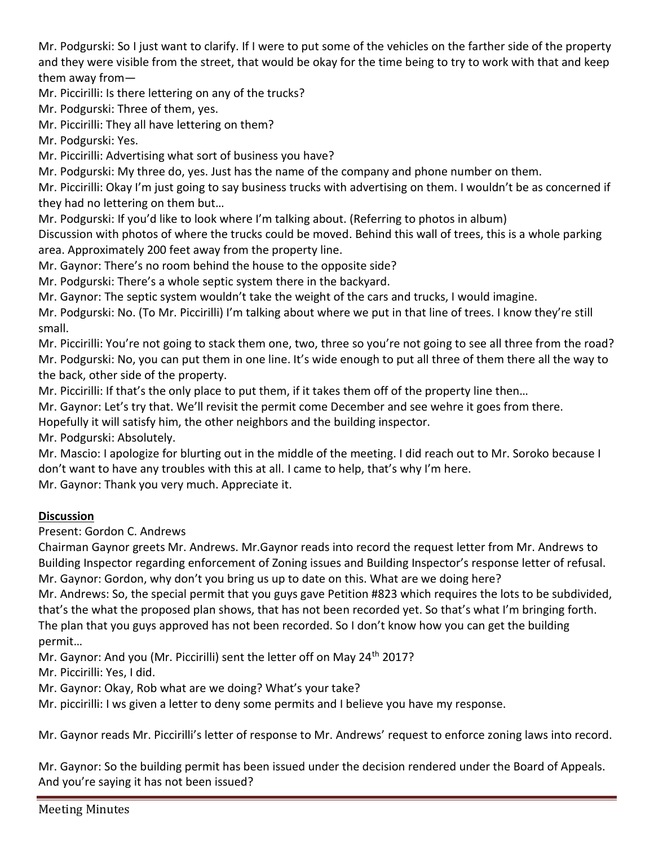Mr. Podgurski: So I just want to clarify. If I were to put some of the vehicles on the farther side of the property and they were visible from the street, that would be okay for the time being to try to work with that and keep them away from—

Mr. Piccirilli: Is there lettering on any of the trucks?

Mr. Podgurski: Three of them, yes.

Mr. Piccirilli: They all have lettering on them?

Mr. Podgurski: Yes.

Mr. Piccirilli: Advertising what sort of business you have?

Mr. Podgurski: My three do, yes. Just has the name of the company and phone number on them.

Mr. Piccirilli: Okay I'm just going to say business trucks with advertising on them. I wouldn't be as concerned if they had no lettering on them but…

Mr. Podgurski: If you'd like to look where I'm talking about. (Referring to photos in album)

Discussion with photos of where the trucks could be moved. Behind this wall of trees, this is a whole parking area. Approximately 200 feet away from the property line.

Mr. Gaynor: There's no room behind the house to the opposite side?

Mr. Podgurski: There's a whole septic system there in the backyard.

Mr. Gaynor: The septic system wouldn't take the weight of the cars and trucks, I would imagine.

Mr. Podgurski: No. (To Mr. Piccirilli) I'm talking about where we put in that line of trees. I know they're still small.

Mr. Piccirilli: You're not going to stack them one, two, three so you're not going to see all three from the road? Mr. Podgurski: No, you can put them in one line. It's wide enough to put all three of them there all the way to the back, other side of the property.

Mr. Piccirilli: If that's the only place to put them, if it takes them off of the property line then…

Mr. Gaynor: Let's try that. We'll revisit the permit come December and see wehre it goes from there.

Hopefully it will satisfy him, the other neighbors and the building inspector.

Mr. Podgurski: Absolutely.

Mr. Mascio: I apologize for blurting out in the middle of the meeting. I did reach out to Mr. Soroko because I don't want to have any troubles with this at all. I came to help, that's why I'm here.

Mr. Gaynor: Thank you very much. Appreciate it.

## **Discussion**

Present: Gordon C. Andrews

Chairman Gaynor greets Mr. Andrews. Mr.Gaynor reads into record the request letter from Mr. Andrews to Building Inspector regarding enforcement of Zoning issues and Building Inspector's response letter of refusal. Mr. Gaynor: Gordon, why don't you bring us up to date on this. What are we doing here?

Mr. Andrews: So, the special permit that you guys gave Petition #823 which requires the lots to be subdivided, that's the what the proposed plan shows, that has not been recorded yet. So that's what I'm bringing forth. The plan that you guys approved has not been recorded. So I don't know how you can get the building permit…

Mr. Gaynor: And you (Mr. Piccirilli) sent the letter off on May 24<sup>th</sup> 2017?

Mr. Piccirilli: Yes, I did.

Mr. Gaynor: Okay, Rob what are we doing? What's your take?

Mr. piccirilli: I ws given a letter to deny some permits and I believe you have my response.

Mr. Gaynor reads Mr. Piccirilli's letter of response to Mr. Andrews' request to enforce zoning laws into record.

Mr. Gaynor: So the building permit has been issued under the decision rendered under the Board of Appeals. And you're saying it has not been issued?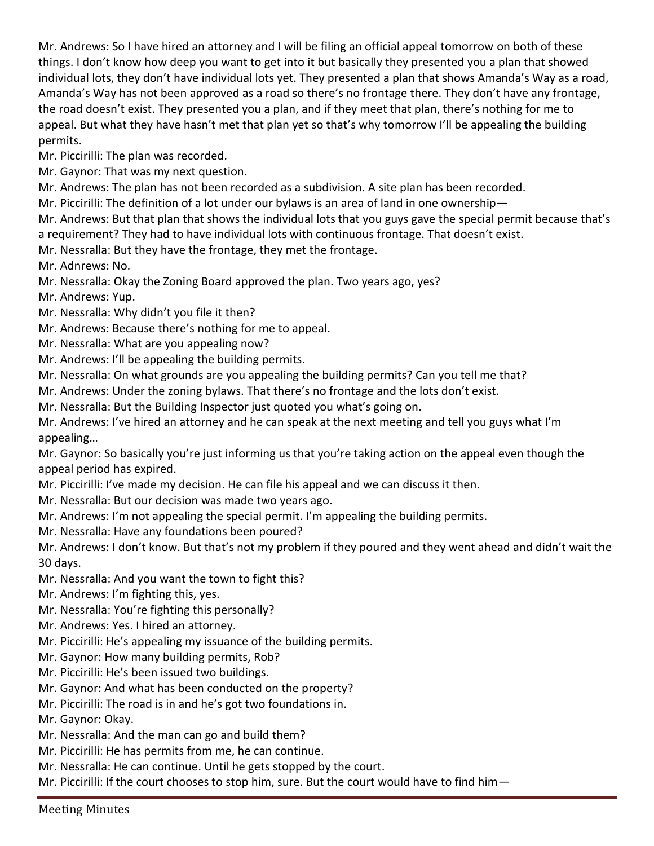Mr. Andrews: So I have hired an attorney and I will be filing an official appeal tomorrow on both of these things. I don't know how deep you want to get into it but basically they presented you a plan that showed individual lots, they don't have individual lots yet. They presented a plan that shows Amanda's Way as a road, Amanda's Way has not been approved as a road so there's no frontage there. They don't have any frontage, the road doesn't exist. They presented you a plan, and if they meet that plan, there's nothing for me to appeal. But what they have hasn't met that plan yet so that's why tomorrow I'll be appealing the building permits.

Mr. Piccirilli: The plan was recorded.

Mr. Gaynor: That was my next question.

Mr. Andrews: The plan has not been recorded as a subdivision. A site plan has been recorded.

Mr. Piccirilli: The definition of a lot under our bylaws is an area of land in one ownership—

Mr. Andrews: But that plan that shows the individual lots that you guys gave the special permit because that's a requirement? They had to have individual lots with continuous frontage. That doesn't exist.

Mr. Nessralla: But they have the frontage, they met the frontage.

Mr. Adnrews: No.

Mr. Nessralla: Okay the Zoning Board approved the plan. Two years ago, yes?

Mr. Andrews: Yup.

- Mr. Nessralla: Why didn't you file it then?
- Mr. Andrews: Because there's nothing for me to appeal.
- Mr. Nessralla: What are you appealing now?
- Mr. Andrews: I'll be appealing the building permits.
- Mr. Nessralla: On what grounds are you appealing the building permits? Can you tell me that?
- Mr. Andrews: Under the zoning bylaws. That there's no frontage and the lots don't exist.

Mr. Nessralla: But the Building Inspector just quoted you what's going on.

Mr. Andrews: I've hired an attorney and he can speak at the next meeting and tell you guys what I'm appealing…

Mr. Gaynor: So basically you're just informing us that you're taking action on the appeal even though the appeal period has expired.

- Mr. Piccirilli: I've made my decision. He can file his appeal and we can discuss it then.
- Mr. Nessralla: But our decision was made two years ago.
- Mr. Andrews: I'm not appealing the special permit. I'm appealing the building permits.
- Mr. Nessralla: Have any foundations been poured?

Mr. Andrews: I don't know. But that's not my problem if they poured and they went ahead and didn't wait the 30 days.

- Mr. Nessralla: And you want the town to fight this?
- Mr. Andrews: I'm fighting this, yes.
- Mr. Nessralla: You're fighting this personally?
- Mr. Andrews: Yes. I hired an attorney.
- Mr. Piccirilli: He's appealing my issuance of the building permits.
- Mr. Gaynor: How many building permits, Rob?
- Mr. Piccirilli: He's been issued two buildings.
- Mr. Gaynor: And what has been conducted on the property?
- Mr. Piccirilli: The road is in and he's got two foundations in.

Mr. Gaynor: Okay.

- Mr. Nessralla: And the man can go and build them?
- Mr. Piccirilli: He has permits from me, he can continue.
- Mr. Nessralla: He can continue. Until he gets stopped by the court.
- Mr. Piccirilli: If the court chooses to stop him, sure. But the court would have to find him—